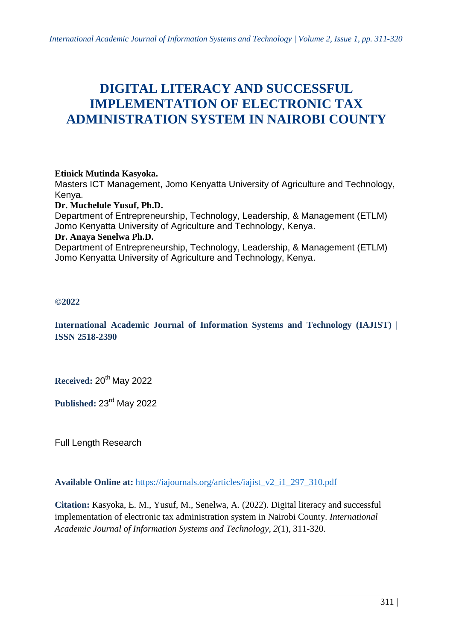# **DIGITAL LITERACY AND SUCCESSFUL IMPLEMENTATION OF ELECTRONIC TAX ADMINISTRATION SYSTEM IN NAIROBI COUNTY**

#### **Etinick Mutinda Kasyoka.**

Masters ICT Management, Jomo Kenyatta University of Agriculture and Technology, Kenya.

#### **Dr. Muchelule Yusuf, Ph.D.**

Department of Entrepreneurship, Technology, Leadership, & Management (ETLM) Jomo Kenyatta University of Agriculture and Technology, Kenya. **Dr. Anaya Senelwa Ph.D.**

Department of Entrepreneurship, Technology, Leadership, & Management (ETLM) Jomo Kenyatta University of Agriculture and Technology, Kenya.

#### **©2022**

**International Academic Journal of Information Systems and Technology (IAJIST) | ISSN 2518-2390**

Received: 20<sup>th</sup> May 2022

Published: 23<sup>rd</sup> May 2022

Full Length Research

**Available Online at:** [https://iajournals.org/articles/iajist\\_v2\\_i1\\_297\\_310.pdf](https://iajournals.org/articles/iajist_v2_i1_297_310.pdf)

**Citation:** Kasyoka, E. M., Yusuf, M., Senelwa, A. (2022). Digital literacy and successful implementation of electronic tax administration system in Nairobi County. *International Academic Journal of Information Systems and Technology, 2*(1), 311-320.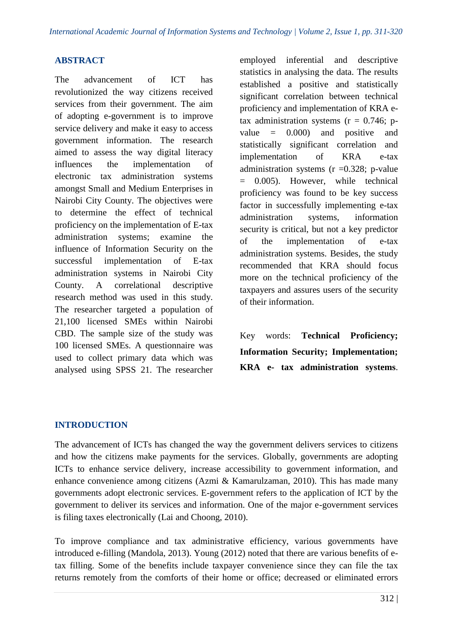## **ABSTRACT**

The advancement of ICT has revolutionized the way citizens received services from their government. The aim of adopting e-government is to improve service delivery and make it easy to access government information. The research aimed to assess the way digital literacy influences the implementation of electronic tax administration systems amongst Small and Medium Enterprises in Nairobi City County. The objectives were to determine the effect of technical proficiency on the implementation of E-tax administration systems; examine the influence of Information Security on the successful implementation of E-tax administration systems in Nairobi City County. A correlational descriptive research method was used in this study. The researcher targeted a population of 21,100 licensed SMEs within Nairobi CBD. The sample size of the study was 100 licensed SMEs. A questionnaire was used to collect primary data which was analysed using SPSS 21. The researcher employed inferential and descriptive statistics in analysing the data. The results established a positive and statistically significant correlation between technical proficiency and implementation of KRA etax administration systems  $(r = 0.746; p$ value  $= 0.000$  and positive and statistically significant correlation and implementation of KRA e-tax administration systems  $(r = 0.328; p-value)$ = 0.005). However, while technical proficiency was found to be key success factor in successfully implementing e-tax administration systems, information security is critical, but not a key predictor of the implementation of e-tax administration systems. Besides, the study recommended that KRA should focus more on the technical proficiency of the taxpayers and assures users of the security of their information.

Key words: **Technical Proficiency; Information Security; Implementation; KRA e- tax administration systems**.

# **INTRODUCTION**

The advancement of ICTs has changed the way the government delivers services to citizens and how the citizens make payments for the services. Globally, governments are adopting ICTs to enhance service delivery, increase accessibility to government information, and enhance convenience among citizens (Azmi & Kamarulzaman, 2010). This has made many governments adopt electronic services. E-government refers to the application of ICT by the government to deliver its services and information. One of the major e-government services is filing taxes electronically (Lai and Choong, 2010).

To improve compliance and tax administrative efficiency, various governments have introduced e-filling (Mandola, 2013). Young (2012) noted that there are various benefits of etax filling. Some of the benefits include taxpayer convenience since they can file the tax returns remotely from the comforts of their home or office; decreased or eliminated errors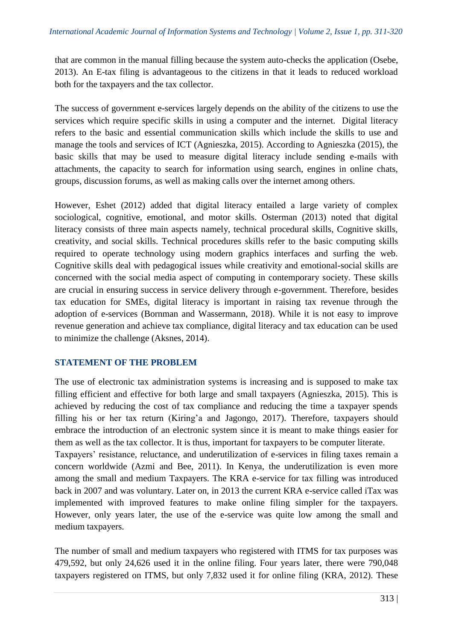that are common in the manual filling because the system auto-checks the application (Osebe, 2013). An E-tax filing is advantageous to the citizens in that it leads to reduced workload both for the taxpayers and the tax collector.

The success of government e-services largely depends on the ability of the citizens to use the services which require specific skills in using a computer and the internet. Digital literacy refers to the basic and essential communication skills which include the skills to use and manage the tools and services of ICT (Agnieszka, 2015). According to Agnieszka (2015), the basic skills that may be used to measure digital literacy include sending e-mails with attachments, the capacity to search for information using search, engines in online chats, groups, discussion forums, as well as making calls over the internet among others.

However, Eshet (2012) added that digital literacy entailed a large variety of complex sociological, cognitive, emotional, and motor skills. Osterman (2013) noted that digital literacy consists of three main aspects namely, technical procedural skills, Cognitive skills, creativity, and social skills. Technical procedures skills refer to the basic computing skills required to operate technology using modern graphics interfaces and surfing the web. Cognitive skills deal with pedagogical issues while creativity and emotional-social skills are concerned with the social media aspect of computing in contemporary society. These skills are crucial in ensuring success in service delivery through e-government. Therefore, besides tax education for SMEs, digital literacy is important in raising tax revenue through the adoption of e-services (Bornman and Wassermann, 2018). While it is not easy to improve revenue generation and achieve tax compliance, digital literacy and tax education can be used to minimize the challenge (Aksnes, 2014).

# **STATEMENT OF THE PROBLEM**

medium taxpayers.

The use of electronic tax administration systems is increasing and is supposed to make tax filling efficient and effective for both large and small taxpayers (Agnieszka, 2015). This is achieved by reducing the cost of tax compliance and reducing the time a taxpayer spends filling his or her tax return (Kiring'a and Jagongo, 2017). Therefore, taxpayers should embrace the introduction of an electronic system since it is meant to make things easier for them as well as the tax collector. It is thus, important for taxpayers to be computer literate. Taxpayers' resistance, reluctance, and underutilization of e-services in filing taxes remain a concern worldwide (Azmi and Bee, 2011). In Kenya, the underutilization is even more among the small and medium Taxpayers. The KRA e-service for tax filling was introduced back in 2007 and was voluntary. Later on, in 2013 the current KRA e-service called iTax was implemented with improved features to make online filing simpler for the taxpayers. However, only years later, the use of the e-service was quite low among the small and

The number of small and medium taxpayers who registered with ITMS for tax purposes was 479,592, but only 24,626 used it in the online filing. Four years later, there were 790,048 taxpayers registered on ITMS, but only 7,832 used it for online filing (KRA, 2012). These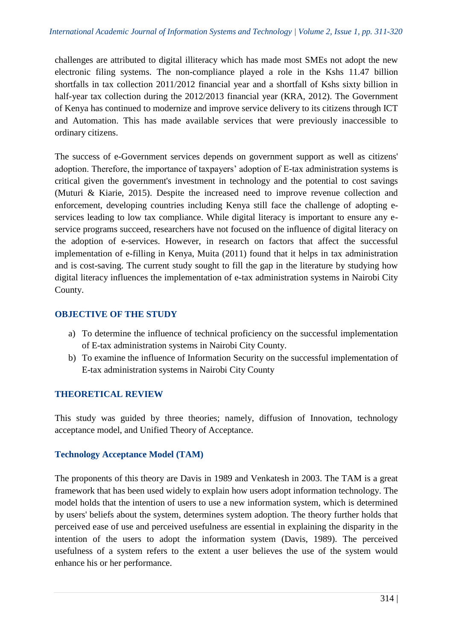challenges are attributed to digital illiteracy which has made most SMEs not adopt the new electronic filing systems. The non-compliance played a role in the Kshs 11.47 billion shortfalls in tax collection 2011/2012 financial year and a shortfall of Kshs sixty billion in half-year tax collection during the 2012/2013 financial year (KRA, 2012). The Government of Kenya has continued to modernize and improve service delivery to its citizens through ICT and Automation. This has made available services that were previously inaccessible to ordinary citizens.

The success of e-Government services depends on government support as well as citizens' adoption. Therefore, the importance of taxpayers' adoption of E-tax administration systems is critical given the government's investment in technology and the potential to cost savings (Muturi & Kiarie, 2015). Despite the increased need to improve revenue collection and enforcement, developing countries including Kenya still face the challenge of adopting eservices leading to low tax compliance. While digital literacy is important to ensure any eservice programs succeed, researchers have not focused on the influence of digital literacy on the adoption of e-services. However, in research on factors that affect the successful implementation of e-filling in Kenya, Muita (2011) found that it helps in tax administration and is cost-saving. The current study sought to fill the gap in the literature by studying how digital literacy influences the implementation of e-tax administration systems in Nairobi City County.

## **OBJECTIVE OF THE STUDY**

- a) To determine the influence of technical proficiency on the successful implementation of E-tax administration systems in Nairobi City County.
- b) To examine the influence of Information Security on the successful implementation of E-tax administration systems in Nairobi City County

# **THEORETICAL REVIEW**

This study was guided by three theories; namely, diffusion of Innovation, technology acceptance model, and Unified Theory of Acceptance.

## **Technology Acceptance Model (TAM)**

The proponents of this theory are Davis in 1989 and Venkatesh in 2003. The TAM is a great framework that has been used widely to explain how users adopt information technology. The model holds that the intention of users to use a new information system, which is determined by users' beliefs about the system, determines system adoption. The theory further holds that perceived ease of use and perceived usefulness are essential in explaining the disparity in the intention of the users to adopt the information system (Davis, 1989). The perceived usefulness of a system refers to the extent a user believes the use of the system would enhance his or her performance.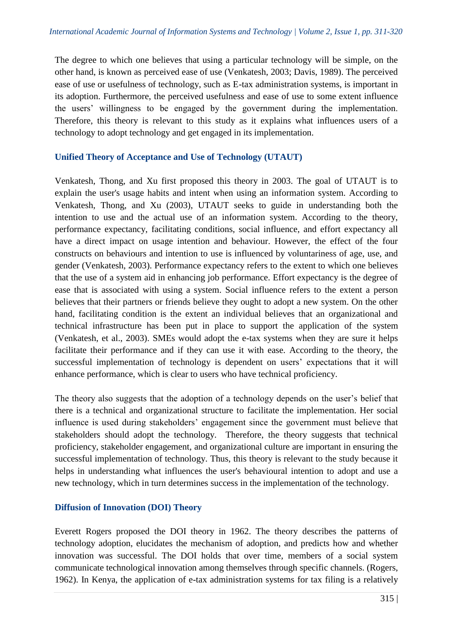The degree to which one believes that using a particular technology will be simple, on the other hand, is known as perceived ease of use (Venkatesh, 2003; Davis, 1989). The perceived ease of use or usefulness of technology, such as E-tax administration systems, is important in its adoption. Furthermore, the perceived usefulness and ease of use to some extent influence the users' willingness to be engaged by the government during the implementation. Therefore, this theory is relevant to this study as it explains what influences users of a technology to adopt technology and get engaged in its implementation.

#### **Unified Theory of Acceptance and Use of Technology (UTAUT)**

Venkatesh, Thong, and Xu first proposed this theory in 2003. The goal of UTAUT is to explain the user's usage habits and intent when using an information system. According to Venkatesh, Thong, and Xu (2003), UTAUT seeks to guide in understanding both the intention to use and the actual use of an information system. According to the theory, performance expectancy, facilitating conditions, social influence, and effort expectancy all have a direct impact on usage intention and behaviour. However, the effect of the four constructs on behaviours and intention to use is influenced by voluntariness of age, use, and gender (Venkatesh, 2003). Performance expectancy refers to the extent to which one believes that the use of a system aid in enhancing job performance. Effort expectancy is the degree of ease that is associated with using a system. Social influence refers to the extent a person believes that their partners or friends believe they ought to adopt a new system. On the other hand, facilitating condition is the extent an individual believes that an organizational and technical infrastructure has been put in place to support the application of the system (Venkatesh, et al., 2003). SMEs would adopt the e-tax systems when they are sure it helps facilitate their performance and if they can use it with ease. According to the theory, the successful implementation of technology is dependent on users' expectations that it will enhance performance, which is clear to users who have technical proficiency.

The theory also suggests that the adoption of a technology depends on the user's belief that there is a technical and organizational structure to facilitate the implementation. Her social influence is used during stakeholders' engagement since the government must believe that stakeholders should adopt the technology. Therefore, the theory suggests that technical proficiency, stakeholder engagement, and organizational culture are important in ensuring the successful implementation of technology. Thus, this theory is relevant to the study because it helps in understanding what influences the user's behavioural intention to adopt and use a new technology, which in turn determines success in the implementation of the technology.

## **Diffusion of Innovation (DOI) Theory**

Everett Rogers proposed the DOI theory in 1962. The theory describes the patterns of technology adoption, elucidates the mechanism of adoption, and predicts how and whether innovation was successful. The DOI holds that over time, members of a social system communicate technological innovation among themselves through specific channels. (Rogers, 1962). In Kenya, the application of e-tax administration systems for tax filing is a relatively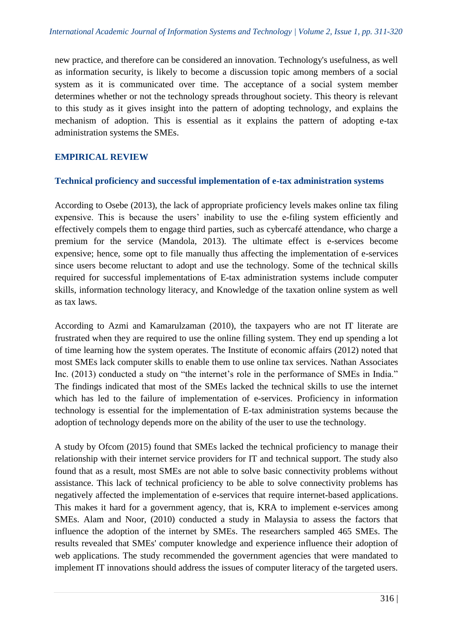new practice, and therefore can be considered an innovation. Technology's usefulness, as well as information security, is likely to become a discussion topic among members of a social system as it is communicated over time. The acceptance of a social system member determines whether or not the technology spreads throughout society. This theory is relevant to this study as it gives insight into the pattern of adopting technology, and explains the mechanism of adoption. This is essential as it explains the pattern of adopting e-tax administration systems the SMEs.

## **EMPIRICAL REVIEW**

#### **Technical proficiency and successful implementation of e-tax administration systems**

According to Osebe (2013), the lack of appropriate proficiency levels makes online tax filing expensive. This is because the users' inability to use the e-filing system efficiently and effectively compels them to engage third parties, such as cybercafé attendance, who charge a premium for the service (Mandola, 2013). The ultimate effect is e-services become expensive; hence, some opt to file manually thus affecting the implementation of e-services since users become reluctant to adopt and use the technology. Some of the technical skills required for successful implementations of E-tax administration systems include computer skills, information technology literacy, and Knowledge of the taxation online system as well as tax laws.

According to Azmi and Kamarulzaman (2010), the taxpayers who are not IT literate are frustrated when they are required to use the online filling system. They end up spending a lot of time learning how the system operates. The Institute of economic affairs (2012) noted that most SMEs lack computer skills to enable them to use online tax services. Nathan Associates Inc. (2013) conducted a study on "the internet's role in the performance of SMEs in India." The findings indicated that most of the SMEs lacked the technical skills to use the internet which has led to the failure of implementation of e-services. Proficiency in information technology is essential for the implementation of E-tax administration systems because the adoption of technology depends more on the ability of the user to use the technology.

A study by Ofcom (2015) found that SMEs lacked the technical proficiency to manage their relationship with their internet service providers for IT and technical support. The study also found that as a result, most SMEs are not able to solve basic connectivity problems without assistance. This lack of technical proficiency to be able to solve connectivity problems has negatively affected the implementation of e-services that require internet-based applications. This makes it hard for a government agency, that is, KRA to implement e-services among SMEs. Alam and Noor, (2010) conducted a study in Malaysia to assess the factors that influence the adoption of the internet by SMEs. The researchers sampled 465 SMEs. The results revealed that SMEs' computer knowledge and experience influence their adoption of web applications. The study recommended the government agencies that were mandated to implement IT innovations should address the issues of computer literacy of the targeted users.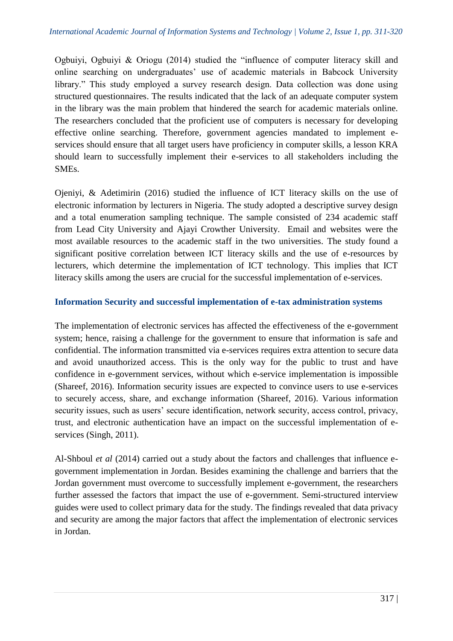Ogbuiyi, Ogbuiyi & Oriogu (2014) studied the "influence of computer literacy skill and online searching on undergraduates' use of academic materials in Babcock University library." This study employed a survey research design. Data collection was done using structured questionnaires. The results indicated that the lack of an adequate computer system in the library was the main problem that hindered the search for academic materials online. The researchers concluded that the proficient use of computers is necessary for developing effective online searching. Therefore, government agencies mandated to implement eservices should ensure that all target users have proficiency in computer skills, a lesson KRA should learn to successfully implement their e-services to all stakeholders including the SMEs.

Ojeniyi, & Adetimirin (2016) studied the influence of ICT literacy skills on the use of electronic information by lecturers in Nigeria. The study adopted a descriptive survey design and a total enumeration sampling technique. The sample consisted of 234 academic staff from Lead City University and Ajayi Crowther University. Email and websites were the most available resources to the academic staff in the two universities. The study found a significant positive correlation between ICT literacy skills and the use of e-resources by lecturers, which determine the implementation of ICT technology. This implies that ICT literacy skills among the users are crucial for the successful implementation of e-services.

## **Information Security and successful implementation of e-tax administration systems**

The implementation of electronic services has affected the effectiveness of the e-government system; hence, raising a challenge for the government to ensure that information is safe and confidential. The information transmitted via e-services requires extra attention to secure data and avoid unauthorized access. This is the only way for the public to trust and have confidence in e-government services, without which e-service implementation is impossible (Shareef, 2016). Information security issues are expected to convince users to use e-services to securely access, share, and exchange information (Shareef, 2016). Various information security issues, such as users' secure identification, network security, access control, privacy, trust, and electronic authentication have an impact on the successful implementation of eservices (Singh, 2011).

Al-Shboul *et al* (2014) carried out a study about the factors and challenges that influence egovernment implementation in Jordan. Besides examining the challenge and barriers that the Jordan government must overcome to successfully implement e-government, the researchers further assessed the factors that impact the use of e-government. Semi-structured interview guides were used to collect primary data for the study. The findings revealed that data privacy and security are among the major factors that affect the implementation of electronic services in Jordan.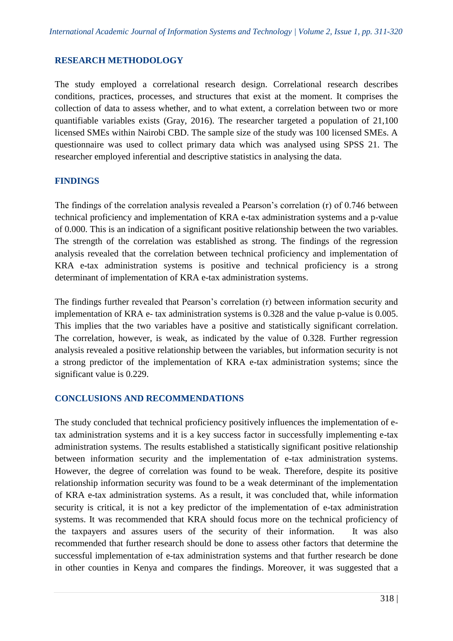## **RESEARCH METHODOLOGY**

The study employed a correlational research design. Correlational research describes conditions, practices, processes, and structures that exist at the moment. It comprises the collection of data to assess whether, and to what extent, a correlation between two or more quantifiable variables exists (Gray, 2016). The researcher targeted a population of 21,100 licensed SMEs within Nairobi CBD. The sample size of the study was 100 licensed SMEs. A questionnaire was used to collect primary data which was analysed using SPSS 21. The researcher employed inferential and descriptive statistics in analysing the data.

## **FINDINGS**

The findings of the correlation analysis revealed a Pearson's correlation (r) of 0.746 between technical proficiency and implementation of KRA e-tax administration systems and a p-value of 0.000. This is an indication of a significant positive relationship between the two variables. The strength of the correlation was established as strong. The findings of the regression analysis revealed that the correlation between technical proficiency and implementation of KRA e-tax administration systems is positive and technical proficiency is a strong determinant of implementation of KRA e-tax administration systems.

The findings further revealed that Pearson's correlation (r) between information security and implementation of KRA e- tax administration systems is 0.328 and the value p-value is 0.005. This implies that the two variables have a positive and statistically significant correlation. The correlation, however, is weak, as indicated by the value of 0.328. Further regression analysis revealed a positive relationship between the variables, but information security is not a strong predictor of the implementation of KRA e-tax administration systems; since the significant value is 0.229.

## **CONCLUSIONS AND RECOMMENDATIONS**

The study concluded that technical proficiency positively influences the implementation of etax administration systems and it is a key success factor in successfully implementing e-tax administration systems. The results established a statistically significant positive relationship between information security and the implementation of e-tax administration systems. However, the degree of correlation was found to be weak. Therefore, despite its positive relationship information security was found to be a weak determinant of the implementation of KRA e-tax administration systems. As a result, it was concluded that, while information security is critical, it is not a key predictor of the implementation of e-tax administration systems. It was recommended that KRA should focus more on the technical proficiency of the taxpayers and assures users of the security of their information. It was also recommended that further research should be done to assess other factors that determine the successful implementation of e-tax administration systems and that further research be done in other counties in Kenya and compares the findings. Moreover, it was suggested that a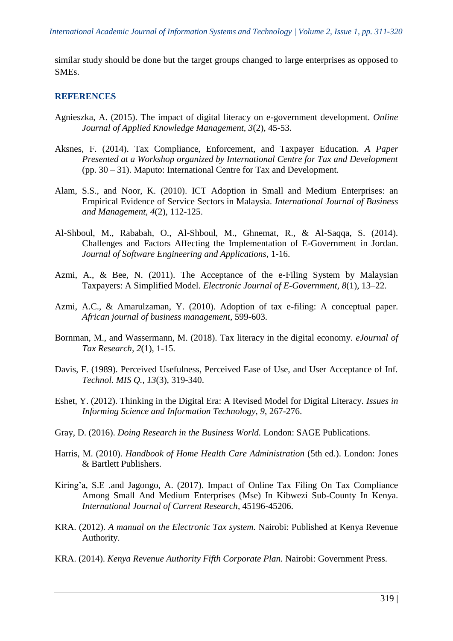similar study should be done but the target groups changed to large enterprises as opposed to SMEs.

#### **REFERENCES**

- Agnieszka, A. (2015). The impact of digital literacy on e-government development. *Online Journal of Applied Knowledge Management, 3*(2), 45-53.
- Aksnes, F. (2014). Tax Compliance, Enforcement, and Taxpayer Education. *A Paper Presented at a Workshop organized by International Centre for Tax and Development* (pp. 30 – 31). Maputo: International Centre for Tax and Development.
- Alam, S.S., and Noor, K. (2010). ICT Adoption in Small and Medium Enterprises: an Empirical Evidence of Service Sectors in Malaysia. *International Journal of Business and Management, 4*(2), 112-125.
- Al-Shboul, M., Rababah, O., Al-Shboul, M., Ghnemat, R., & Al-Saqqa, S. (2014). Challenges and Factors Affecting the Implementation of E-Government in Jordan. *Journal of Software Engineering and Applications*, 1-16.
- Azmi, A., & Bee, N. (2011). The Acceptance of the e-Filing System by Malaysian Taxpayers: A Simplified Model. *Electronic Journal of E-Government, 8*(1), 13–22.
- Azmi, A.C., & Amarulzaman, Y. (2010). Adoption of tax e-filing: A conceptual paper. *African journal of business management*, 599-603.
- Bornman, M., and Wassermann, M. (2018). Tax literacy in the digital economy. *eJournal of Tax Research, 2*(1), 1-15.
- Davis, F. (1989). Perceived Usefulness, Perceived Ease of Use, and User Acceptance of Inf. *Technol. MIS Q., 13*(3), 319-340.
- Eshet, Y. (2012). Thinking in the Digital Era: A Revised Model for Digital Literacy. *Issues in Informing Science and Information Technology, 9*, 267-276.
- Gray, D. (2016). *Doing Research in the Business World.* London: SAGE Publications.
- Harris, M. (2010). *Handbook of Home Health Care Administration* (5th ed.). London: Jones & Bartlett Publishers.
- Kiring'a, S.E .and Jagongo, A. (2017). Impact of Online Tax Filing On Tax Compliance Among Small And Medium Enterprises (Mse) In Kibwezi Sub-County In Kenya. *International Journal of Current Research*, 45196-45206.
- KRA. (2012). *A manual on the Electronic Tax system.* Nairobi: Published at Kenya Revenue Authority.
- KRA. (2014). *Kenya Revenue Authority Fifth Corporate Plan.* Nairobi: Government Press.